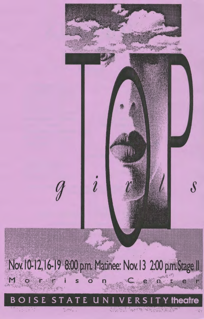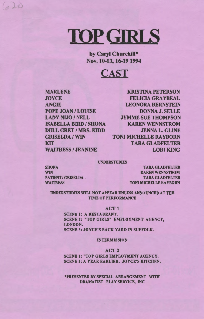# **TOP** GIRLS

by Caryl Churchill\* Nov. 10-13, 16-19 1994



MARLENE **JOYCE** ANGIE POPE JOAN / LOUISE LADY NIJO / NELL **ISABELLA BIRD / SHONA** DULL GRET I MRS. KIDD **GRISELDA / WIN KIT** WAITRESS / JEANINE

620

KRISTINA PETERSON FELICIA GRAYBEAL LEONORA BERNSTEIN DONNA J. SELLE JYMME SUE THOMPSON KAREN WENNSTROM JENNA L. GLINE TONI MICHELLE RAYBORN TARA GLADFELTER LORI KING

#### UNDERSTUDIES

**SHONA WIN** PATIENT / GRISELDA. **WAITRESS** 

TARA GLADFELTER KAREN WENNSTROM TARA GLADFELTER TONI MICHELLE RAYBORN

UNDERSTUDIES WILL NOT APPEAR UNLESS ANNOUNCED AT THE TIME OF PERFORMANCE

#### **ACT1**

SCENE 1: A RESTAURANT. SCENE 2: "TOP GIRLS" EMPLOYMENT AGENCY, LONDON. SCENE 3: JOYCE'S BACK YARD IN SUFFOLK.

INTERMISSION

### ACT<sub>2</sub>

SCENE 1: "TOP GIRLS EMPLOYMENT AGENCY. SCENE 2: A YEAR EARLIER. JOYCE'S KITCHEN.

\*PRESENTED BY SPECIAL ARRANGEMENT WITH DRAMATIST PLAY SERVICE, INC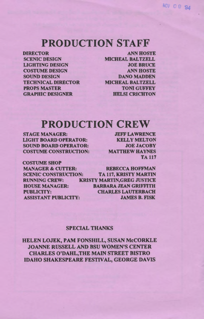# **PRODUCTION STAFF**

**DIRECTOR** SCENIC DESIGN LIGHTING DESIGN COSTUME DESIGN SOUND DESIGN TECHNICAL DIRECTOR PROPS MASTER GRAPHIC DESIGNER

**ANN HOSTE** MICHEAL BALTZELL JOE BRUCE **ANN HOSTE DANO MADDEN** MICHEAL BALTZELL TONI GUFFEY HELSI CRICHTON

# **PRODUCTION CREW**

STAGE MANAGER: LIGHT BOARD OPERATOR: SOUND BOARD OPERATOR: COSTUME CONSTRUCfiON:

JEFF LAWRENCE **KELLY MELTON** JOE JACOBY MATTHEW HAYNES TA 117

COSTUME SHOP MANAGER & CUTTER: REBECCA HOFFMAN SCENIC CONSTRUCTION: TA 117, KRISTY MARTIN RUNNING CREW: KRISTY MARTIN,GREG JUSTICE HOUSE MANAGER: BARBARA JEAN GRIFFITH PUBLICITY: CHARLES LAUTERBACH **ASSISTANT PUBLICITY: JAMES B. FISK** 

### SPECIAL THANKS

HELEN LOJEK, PAM FONSHILL, SUSAN McCORKLE JOANNE RUSSELL AND BSU WOMEN'S CENTER CHARLES O'DAHL,THE MAIN STREET BISTRO IDAHO SHAKESPEARE FESTIVAL, GEORGE DAVIS